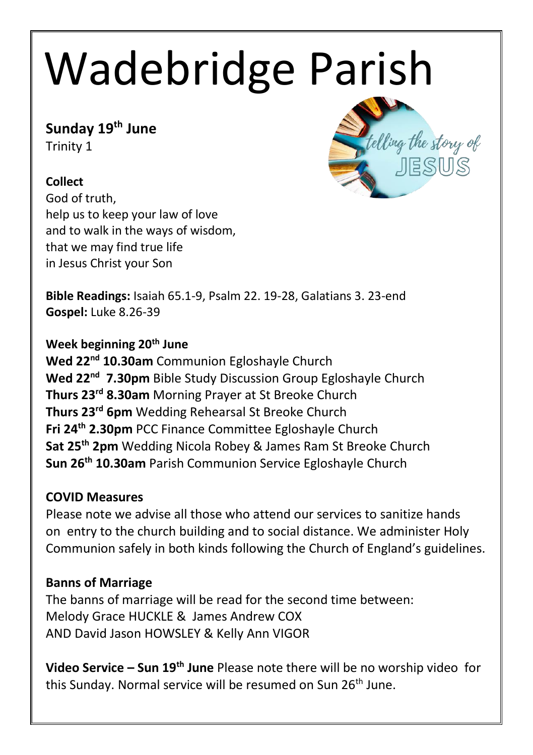# Wadebridge Parish

## **Sunday 19 th June**

Trinity 1

## **Collect**

God of truth, help us to keep your law of love and to walk in the ways of wisdom, that we may find true life in Jesus Christ your Son



**Bible Readings:** Isaiah 65.1-9, Psalm 22. 19-28, Galatians 3. 23-end **Gospel:** Luke 8.26-39

## **Week beginning 20th June**

**Wed 22nd 10.30am** Communion Egloshayle Church **Wed 22nd 7.30pm** Bible Study Discussion Group Egloshayle Church **Thurs 23rd 8.30am** Morning Prayer at St Breoke Church **Thurs 23rd 6pm** Wedding Rehearsal St Breoke Church **Fri 24th 2.30pm** PCC Finance Committee Egloshayle Church **Sat 25th 2pm** Wedding Nicola Robey & James Ram St Breoke Church **Sun 26th 10.30am** Parish Communion Service Egloshayle Church

### **COVID Measures**

Please note we advise all those who attend our services to sanitize hands on entry to the church building and to social distance. We administer Holy Communion safely in both kinds following the Church of England's guidelines.

## **Banns of Marriage**

The banns of marriage will be read for the second time between: Melody Grace HUCKLE & James Andrew COX AND David Jason HOWSLEY & Kelly Ann VIGOR

**Video Service – Sun 19th June** Please note there will be no worship video for this Sunday. Normal service will be resumed on Sun 26<sup>th</sup> June.